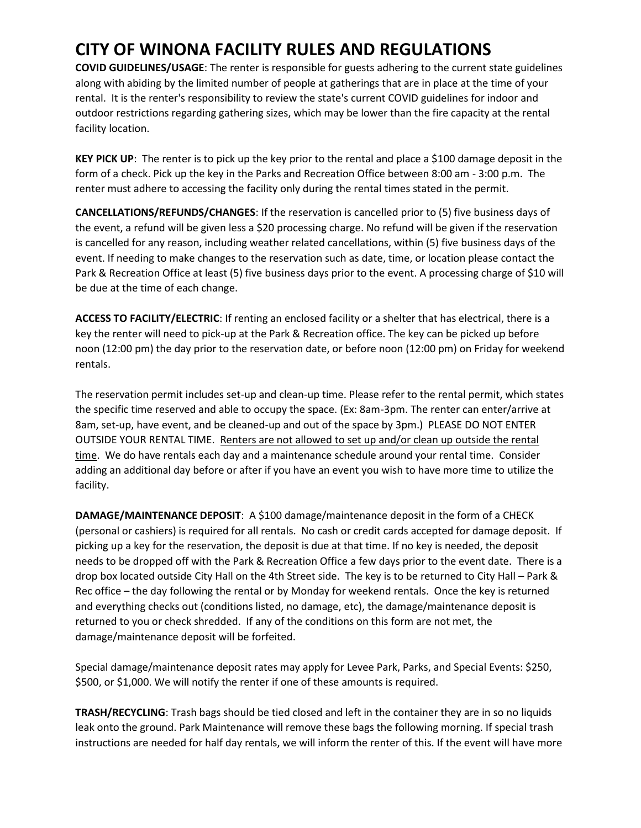## **CITY OF WINONA FACILITY RULES AND REGULATIONS**

**COVID GUIDELINES/USAGE**: The renter is responsible for guests adhering to the current state guidelines along with abiding by the limited number of people at gatherings that are in place at the time of your rental. It is the renter's responsibility to review the state's current COVID guidelines for indoor and outdoor restrictions regarding gathering sizes, which may be lower than the fire capacity at the rental facility location.

**KEY PICK UP**: The renter is to pick up the key prior to the rental and place a \$100 damage deposit in the form of a check. Pick up the key in the Parks and Recreation Office between 8:00 am - 3:00 p.m. The renter must adhere to accessing the facility only during the rental times stated in the permit.

**CANCELLATIONS/REFUNDS/CHANGES**: If the reservation is cancelled prior to (5) five business days of the event, a refund will be given less a \$20 processing charge. No refund will be given if the reservation is cancelled for any reason, including weather related cancellations, within (5) five business days of the event. If needing to make changes to the reservation such as date, time, or location please contact the Park & Recreation Office at least (5) five business days prior to the event. A processing charge of \$10 will be due at the time of each change.

**ACCESS TO FACILITY/ELECTRIC**: If renting an enclosed facility or a shelter that has electrical, there is a key the renter will need to pick-up at the Park & Recreation office. The key can be picked up before noon (12:00 pm) the day prior to the reservation date, or before noon (12:00 pm) on Friday for weekend rentals.

The reservation permit includes set-up and clean-up time. Please refer to the rental permit, which states the specific time reserved and able to occupy the space. (Ex: 8am-3pm. The renter can enter/arrive at 8am, set-up, have event, and be cleaned-up and out of the space by 3pm.) PLEASE DO NOT ENTER OUTSIDE YOUR RENTAL TIME. Renters are not allowed to set up and/or clean up outside the rental time. We do have rentals each day and a maintenance schedule around your rental time. Consider adding an additional day before or after if you have an event you wish to have more time to utilize the facility.

**DAMAGE/MAINTENANCE DEPOSIT**: A \$100 damage/maintenance deposit in the form of a CHECK (personal or cashiers) is required for all rentals. No cash or credit cards accepted for damage deposit. If picking up a key for the reservation, the deposit is due at that time. If no key is needed, the deposit needs to be dropped off with the Park & Recreation Office a few days prior to the event date. There is a drop box located outside City Hall on the 4th Street side. The key is to be returned to City Hall – Park & Rec office – the day following the rental or by Monday for weekend rentals. Once the key is returned and everything checks out (conditions listed, no damage, etc), the damage/maintenance deposit is returned to you or check shredded. If any of the conditions on this form are not met, the damage/maintenance deposit will be forfeited.

Special damage/maintenance deposit rates may apply for Levee Park, Parks, and Special Events: \$250, \$500, or \$1,000. We will notify the renter if one of these amounts is required.

**TRASH/RECYCLING**: Trash bags should be tied closed and left in the container they are in so no liquids leak onto the ground. Park Maintenance will remove these bags the following morning. If special trash instructions are needed for half day rentals, we will inform the renter of this. If the event will have more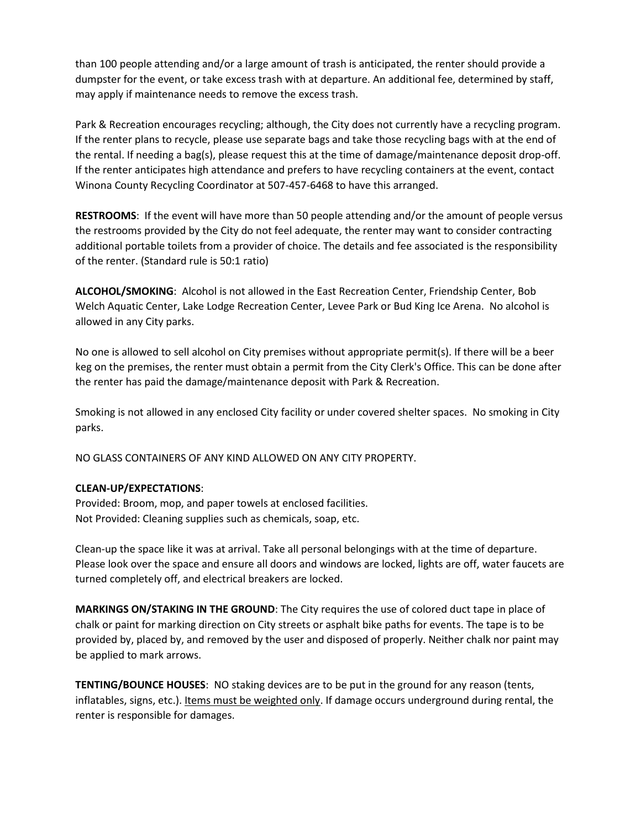than 100 people attending and/or a large amount of trash is anticipated, the renter should provide a dumpster for the event, or take excess trash with at departure. An additional fee, determined by staff, may apply if maintenance needs to remove the excess trash.

Park & Recreation encourages recycling; although, the City does not currently have a recycling program. If the renter plans to recycle, please use separate bags and take those recycling bags with at the end of the rental. If needing a bag(s), please request this at the time of damage/maintenance deposit drop-off. If the renter anticipates high attendance and prefers to have recycling containers at the event, contact Winona County Recycling Coordinator at 507-457-6468 to have this arranged.

**RESTROOMS**: If the event will have more than 50 people attending and/or the amount of people versus the restrooms provided by the City do not feel adequate, the renter may want to consider contracting additional portable toilets from a provider of choice. The details and fee associated is the responsibility of the renter. (Standard rule is 50:1 ratio)

**ALCOHOL/SMOKING**: Alcohol is not allowed in the East Recreation Center, Friendship Center, Bob Welch Aquatic Center, Lake Lodge Recreation Center, Levee Park or Bud King Ice Arena. No alcohol is allowed in any City parks.

No one is allowed to sell alcohol on City premises without appropriate permit(s). If there will be a beer keg on the premises, the renter must obtain a permit from the City Clerk's Office. This can be done after the renter has paid the damage/maintenance deposit with Park & Recreation.

Smoking is not allowed in any enclosed City facility or under covered shelter spaces. No smoking in City parks.

NO GLASS CONTAINERS OF ANY KIND ALLOWED ON ANY CITY PROPERTY.

## **CLEAN-UP/EXPECTATIONS**:

Provided: Broom, mop, and paper towels at enclosed facilities. Not Provided: Cleaning supplies such as chemicals, soap, etc.

Clean-up the space like it was at arrival. Take all personal belongings with at the time of departure. Please look over the space and ensure all doors and windows are locked, lights are off, water faucets are turned completely off, and electrical breakers are locked.

**MARKINGS ON/STAKING IN THE GROUND**: The City requires the use of colored duct tape in place of chalk or paint for marking direction on City streets or asphalt bike paths for events. The tape is to be provided by, placed by, and removed by the user and disposed of properly. Neither chalk nor paint may be applied to mark arrows.

**TENTING/BOUNCE HOUSES**: NO staking devices are to be put in the ground for any reason (tents, inflatables, signs, etc.). Items must be weighted only. If damage occurs underground during rental, the renter is responsible for damages.